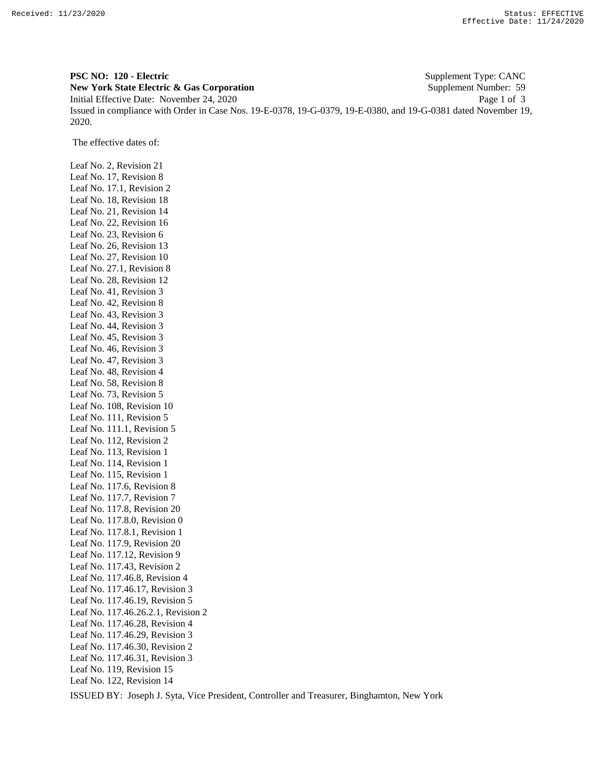**PSC NO: 120 - Electric** Supplement Type: CANC **New York State Electric & Gas Corporation** Supplement Number: 59 Initial Effective Date: November 24, 2020 Page 1 of 3 Issued in compliance with Order in Case Nos. 19-E-0378, 19-G-0379, 19-E-0380, and 19-G-0381 dated November 19, 2020.

The effective dates of:

Leaf No. 2, Revision 21 Leaf No. 17, Revision 8 Leaf No. 17.1, Revision 2 Leaf No. 18, Revision 18 Leaf No. 21, Revision 14 Leaf No. 22, Revision 16 Leaf No. 23, Revision 6 Leaf No. 26, Revision 13 Leaf No. 27, Revision 10 Leaf No. 27.1, Revision 8 Leaf No. 28, Revision 12 Leaf No. 41, Revision 3 Leaf No. 42, Revision 8 Leaf No. 43, Revision 3 Leaf No. 44, Revision 3 Leaf No. 45, Revision 3 Leaf No. 46, Revision 3 Leaf No. 47, Revision 3 Leaf No. 48, Revision 4 Leaf No. 58, Revision 8 Leaf No. 73, Revision 5 Leaf No. 108, Revision 10 Leaf No. 111, Revision 5 Leaf No. 111.1, Revision 5 Leaf No. 112, Revision 2 Leaf No. 113, Revision 1 Leaf No. 114, Revision 1 Leaf No. 115, Revision 1 Leaf No. 117.6, Revision 8 Leaf No. 117.7, Revision 7 Leaf No. 117.8, Revision 20 Leaf No. 117.8.0, Revision 0 Leaf No. 117.8.1, Revision 1 Leaf No. 117.9, Revision 20 Leaf No. 117.12, Revision 9 Leaf No. 117.43, Revision 2 Leaf No. 117.46.8, Revision 4 Leaf No. 117.46.17, Revision 3 Leaf No. 117.46.19, Revision 5 Leaf No. 117.46.26.2.1, Revision 2 Leaf No. 117.46.28, Revision 4 Leaf No. 117.46.29, Revision 3 Leaf No. 117.46.30, Revision 2 Leaf No. 117.46.31, Revision 3 Leaf No. 119, Revision 15 Leaf No. 122, Revision 14

ISSUED BY: Joseph J. Syta, Vice President, Controller and Treasurer, Binghamton, New York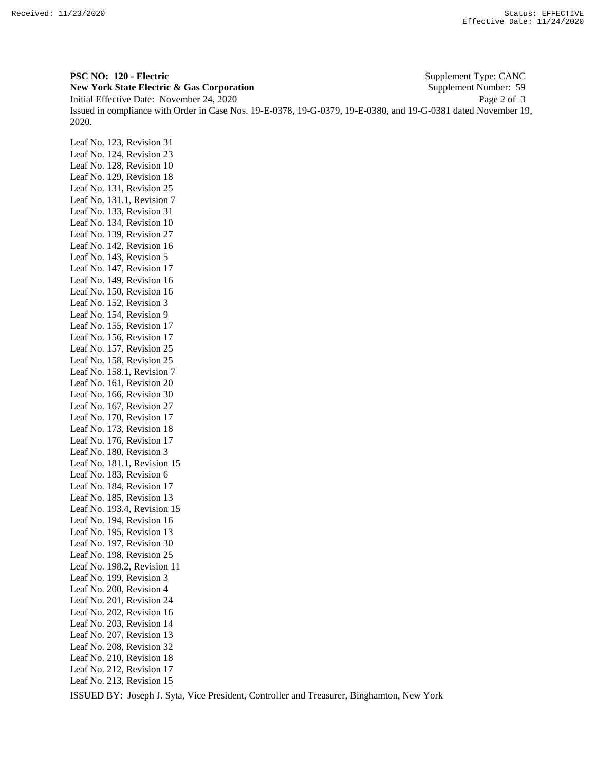**PSC NO: 120 - Electric** Supplement Type: CANC **New York State Electric & Gas Corporation** Supplement Number: 59 Initial Effective Date: November 24, 2020 Page 2 of 3 Issued in compliance with Order in Case Nos. 19-E-0378, 19-G-0379, 19-E-0380, and 19-G-0381 dated November 19, 2020.

Leaf No. 123, Revision 31 Leaf No. 124, Revision 23 Leaf No. 128, Revision 10 Leaf No. 129, Revision 18 Leaf No. 131, Revision 25 Leaf No. 131.1, Revision 7 Leaf No. 133, Revision 31 Leaf No. 134, Revision 10 Leaf No. 139, Revision 27 Leaf No. 142, Revision 16 Leaf No. 143, Revision 5 Leaf No. 147, Revision 17 Leaf No. 149, Revision 16 Leaf No. 150, Revision 16 Leaf No. 152, Revision 3 Leaf No. 154, Revision 9 Leaf No. 155, Revision 17 Leaf No. 156, Revision 17 Leaf No. 157, Revision 25 Leaf No. 158, Revision 25 Leaf No. 158.1, Revision 7 Leaf No. 161, Revision 20 Leaf No. 166, Revision 30 Leaf No. 167, Revision 27 Leaf No. 170, Revision 17 Leaf No. 173, Revision 18 Leaf No. 176, Revision 17 Leaf No. 180, Revision 3 Leaf No. 181.1, Revision 15 Leaf No. 183, Revision 6 Leaf No. 184, Revision 17 Leaf No. 185, Revision 13 Leaf No. 193.4, Revision 15 Leaf No. 194, Revision 16 Leaf No. 195, Revision 13 Leaf No. 197, Revision 30 Leaf No. 198, Revision 25 Leaf No. 198.2, Revision 11 Leaf No. 199, Revision 3 Leaf No. 200, Revision 4 Leaf No. 201, Revision 24 Leaf No. 202, Revision 16 Leaf No. 203, Revision 14 Leaf No. 207, Revision 13 Leaf No. 208, Revision 32 Leaf No. 210, Revision 18 Leaf No. 212, Revision 17 Leaf No. 213, Revision 15

ISSUED BY: Joseph J. Syta, Vice President, Controller and Treasurer, Binghamton, New York